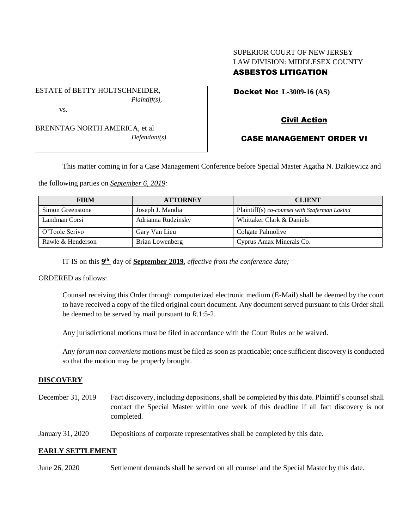# SUPERIOR COURT OF NEW JERSEY LAW DIVISION: MIDDLESEX COUNTY ASBESTOS LITIGATION

ESTATE of BETTY HOLTSCHNEIDER, *Plaintiff(s),* vs.

BRENNTAG NORTH AMERICA, et al *Defendant(s).* Docket No: **L-3009-16 (AS)** 

# Civil Action

# CASE MANAGEMENT ORDER VI

This matter coming in for a Case Management Conference before Special Master Agatha N. Dzikiewicz and

the following parties on *September 6, 2019:*

| <b>FIRM</b>       | <b>ATTORNEY</b>    | <b>CLIENT</b>                                 |  |  |
|-------------------|--------------------|-----------------------------------------------|--|--|
| Simon Greenstone  | Joseph J. Mandia   | Plaintiff(s) co-counsel with Szaferman Lakind |  |  |
| Landman Corsi     | Adrianna Rudzinsky | Whittaker Clark & Daniels                     |  |  |
| O'Toole Scrivo    | Gary Van Lieu      | Colgate Palmolive                             |  |  |
| Rawle & Henderson | Brian Lowenberg    | Cyprus Amax Minerals Co.                      |  |  |

IT IS on this  $9<sup>th</sup>$  day of **September 2019**, *effective from the conference date*;

ORDERED as follows:

Counsel receiving this Order through computerized electronic medium (E-Mail) shall be deemed by the court to have received a copy of the filed original court document. Any document served pursuant to this Order shall be deemed to be served by mail pursuant to *R*.1:5-2.

Any jurisdictional motions must be filed in accordance with the Court Rules or be waived.

Any *forum non conveniens* motions must be filed as soon as practicable; once sufficient discovery is conducted so that the motion may be properly brought.

## **DISCOVERY**

- December 31, 2019 Fact discovery, including depositions, shall be completed by this date. Plaintiff's counsel shall contact the Special Master within one week of this deadline if all fact discovery is not completed.
- January 31, 2020 Depositions of corporate representatives shall be completed by this date.

## **EARLY SETTLEMENT**

June 26, 2020 Settlement demands shall be served on all counsel and the Special Master by this date.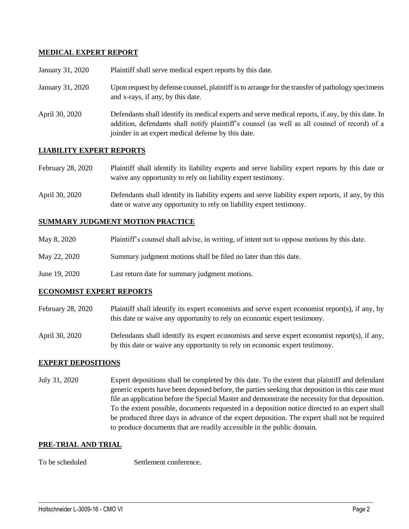### **MEDICAL EXPERT REPORT**

| January 31, 2020 | Plaintiff shall serve medical expert reports by this date.                                                                                                                                                                                               |  |  |
|------------------|----------------------------------------------------------------------------------------------------------------------------------------------------------------------------------------------------------------------------------------------------------|--|--|
| January 31, 2020 | Upon request by defense counsel, plaintiff is to arrange for the transfer of pathology specimens<br>and x-rays, if any, by this date.                                                                                                                    |  |  |
| April 30, 2020   | Defendants shall identify its medical experts and serve medical reports, if any, by this date. In<br>addition, defendants shall notify plaintiff's counsel (as well as all counsel of record) of a<br>joinder in an expert medical defense by this date. |  |  |

### **LIABILITY EXPERT REPORTS**

| February 28, 2020 | Plaintiff shall identify its liability experts and serve liability expert reports by this date or |  |  |  |  |  |  |  |
|-------------------|---------------------------------------------------------------------------------------------------|--|--|--|--|--|--|--|
|                   | waive any opportunity to rely on liability expert testimony.                                      |  |  |  |  |  |  |  |

April 30, 2020 Defendants shall identify its liability experts and serve liability expert reports, if any, by this date or waive any opportunity to rely on liability expert testimony.

#### **SUMMARY JUDGMENT MOTION PRACTICE**

| May 8, 2020 | Plaintiff's counsel shall advise, in writing, of intent not to oppose motions by this date. |  |  |
|-------------|---------------------------------------------------------------------------------------------|--|--|
|             |                                                                                             |  |  |

- May 22, 2020 Summary judgment motions shall be filed no later than this date.
- June 19, 2020 Last return date for summary judgment motions.

#### **ECONOMIST EXPERT REPORTS**

- February 28, 2020 Plaintiff shall identify its expert economists and serve expert economist report(s), if any, by this date or waive any opportunity to rely on economic expert testimony.
- April 30, 2020 Defendants shall identify its expert economists and serve expert economist report(s), if any, by this date or waive any opportunity to rely on economic expert testimony.

#### **EXPERT DEPOSITIONS**

July 31, 2020 Expert depositions shall be completed by this date. To the extent that plaintiff and defendant generic experts have been deposed before, the parties seeking that deposition in this case must file an application before the Special Master and demonstrate the necessity for that deposition. To the extent possible, documents requested in a deposition notice directed to an expert shall be produced three days in advance of the expert deposition. The expert shall not be required to produce documents that are readily accessible in the public domain.

 $\_$  , and the set of the set of the set of the set of the set of the set of the set of the set of the set of the set of the set of the set of the set of the set of the set of the set of the set of the set of the set of th

#### **PRE-TRIAL AND TRIAL**

To be scheduled Settlement conference.